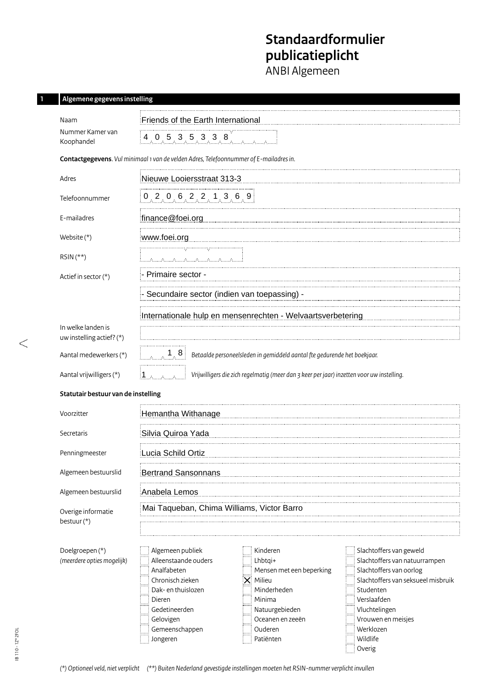# **Standaardformulier publicatieplicht**

ANBI Algemeen

### **1 Algemene gegevens instelling**

| Naam                                            | Friends of the Earth International                                                                                                                                                                                                                                                                                                                                                                                                                                                                                                                                  |  |  |  |  |  |  |  |
|-------------------------------------------------|---------------------------------------------------------------------------------------------------------------------------------------------------------------------------------------------------------------------------------------------------------------------------------------------------------------------------------------------------------------------------------------------------------------------------------------------------------------------------------------------------------------------------------------------------------------------|--|--|--|--|--|--|--|
| Nummer Kamer van<br>Koophandel                  | 4, 0, 5, 3, 5, 3, 3, 8                                                                                                                                                                                                                                                                                                                                                                                                                                                                                                                                              |  |  |  |  |  |  |  |
|                                                 | Contactgegevens. Vul minimaal 1 van de velden Adres, Telefoonnummer of E-mailadres in.                                                                                                                                                                                                                                                                                                                                                                                                                                                                              |  |  |  |  |  |  |  |
| Adres                                           | Nieuwe Looiersstraat 313-3                                                                                                                                                                                                                                                                                                                                                                                                                                                                                                                                          |  |  |  |  |  |  |  |
| Telefoonnummer                                  | $0$ , 2, 0, 6, 2, 2, 1, 3, 6, 9                                                                                                                                                                                                                                                                                                                                                                                                                                                                                                                                     |  |  |  |  |  |  |  |
| E-mailadres                                     | finance@foei.org                                                                                                                                                                                                                                                                                                                                                                                                                                                                                                                                                    |  |  |  |  |  |  |  |
| Website $(*)$                                   | www.foei.org                                                                                                                                                                                                                                                                                                                                                                                                                                                                                                                                                        |  |  |  |  |  |  |  |
| $RSIN(**)$                                      |                                                                                                                                                                                                                                                                                                                                                                                                                                                                                                                                                                     |  |  |  |  |  |  |  |
| Actief in sector (*)                            | Primaire sector -                                                                                                                                                                                                                                                                                                                                                                                                                                                                                                                                                   |  |  |  |  |  |  |  |
|                                                 | Secundaire sector (indien van toepassing) -                                                                                                                                                                                                                                                                                                                                                                                                                                                                                                                         |  |  |  |  |  |  |  |
|                                                 | Internationale hulp en mensenrechten - Welvaartsverbetering                                                                                                                                                                                                                                                                                                                                                                                                                                                                                                         |  |  |  |  |  |  |  |
| In welke landen is<br>uw instelling actief? (*) |                                                                                                                                                                                                                                                                                                                                                                                                                                                                                                                                                                     |  |  |  |  |  |  |  |
| Aantal medewerkers (*)                          | $\begin{array}{c} 1 & 8 \end{array}$<br>Betaalde personeelsleden in gemiddeld aantal fte gedurende het boekjaar.                                                                                                                                                                                                                                                                                                                                                                                                                                                    |  |  |  |  |  |  |  |
| Aantal vrijwilligers (*)                        | Vrijwilligers die zich regelmatig (meer dan 3 keer per jaar) inzetten voor uw instelling.<br>∶1.                                                                                                                                                                                                                                                                                                                                                                                                                                                                    |  |  |  |  |  |  |  |
| Statutair bestuur van de instelling             |                                                                                                                                                                                                                                                                                                                                                                                                                                                                                                                                                                     |  |  |  |  |  |  |  |
| Voorzitter                                      | Hemantha Withanage                                                                                                                                                                                                                                                                                                                                                                                                                                                                                                                                                  |  |  |  |  |  |  |  |
| Secretaris                                      | Silvia Quiroa Yada                                                                                                                                                                                                                                                                                                                                                                                                                                                                                                                                                  |  |  |  |  |  |  |  |
| Penningmeester                                  | Lucia Schild Ortiz                                                                                                                                                                                                                                                                                                                                                                                                                                                                                                                                                  |  |  |  |  |  |  |  |
| Algemeen bestuurslid                            | Bertrand Sansonnans                                                                                                                                                                                                                                                                                                                                                                                                                                                                                                                                                 |  |  |  |  |  |  |  |
| Algemeen bestuurslid                            | Anabela Lemos                                                                                                                                                                                                                                                                                                                                                                                                                                                                                                                                                       |  |  |  |  |  |  |  |
| Overige informatie                              | Mai Taqueban, Chima Williams, Victor Barro                                                                                                                                                                                                                                                                                                                                                                                                                                                                                                                          |  |  |  |  |  |  |  |
| bestuur(*)                                      |                                                                                                                                                                                                                                                                                                                                                                                                                                                                                                                                                                     |  |  |  |  |  |  |  |
| Doelgroepen (*)<br>(meerdere opties mogelijk)   | Algemeen publiek<br>Slachtoffers van geweld<br>Kinderen<br>Alleenstaande ouders<br>Slachtoffers van natuurrampen<br>Lhbtqi+<br>Analfabeten<br>Slachtoffers van oorlog<br>Mensen met een beperking<br>Chronisch zieken<br>Milieu<br>Slachtoffers van seksueel misbruik<br>✕<br>Minderheden<br>Dak- en thuislozen<br>Studenten<br>Verslaafden<br>Minima<br>Dieren<br>Vluchtelingen<br>Gedetineerden<br>Natuurgebieden<br>Vrouwen en meisjes<br>Gelovigen<br>Oceanen en zeeën<br>Werklozen<br>Gemeenschappen<br>Ouderen<br>Wildlife<br>Jongeren<br>Patiënten<br>Overig |  |  |  |  |  |  |  |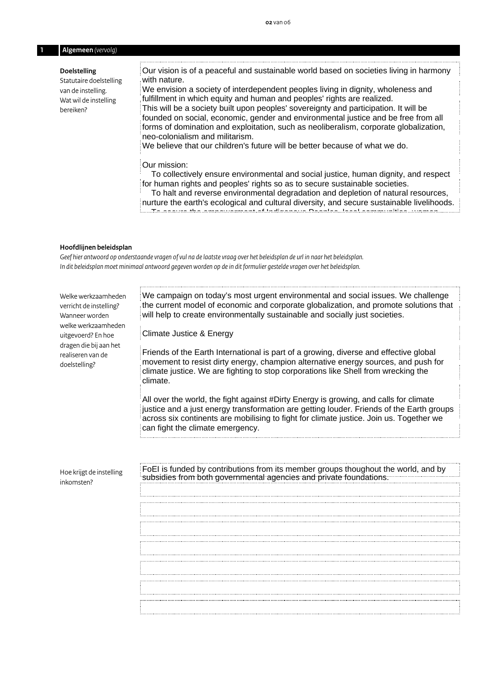#### **1 Algemeen** *(vervolg)*

#### **Doelstelling**

Statutaire doelstelling van de instelling. Wat wil de instelling bereiken?

Our vision is of a peaceful and sustainable world based on societies living in harmony with nature.

We envision a society of interdependent peoples living in dignity, wholeness and fulfillment in which equity and human and peoples' rights are realized. This will be a society built upon peoples' sovereignty and participation. It will be founded on social, economic, gender and environmental justice and be free from all

forms of domination and exploitation, such as neoliberalism, corporate globalization, neo-colonialism and militarism.

We believe that our children's future will be better because of what we do.

#### Our mission:

 To collectively ensure environmental and social justice, human dignity, and respect for human rights and peoples' rights so as to secure sustainable societies.

 To halt and reverse environmental degradation and depletion of natural resources, nurture the earth's ecological and cultural diversity, and secure sustainable livelihoods. To secure the empowerment of Indigenous Peoples, local communities, women,

#### **Hoofdlijnen beleidsplan**

*Geef hier antwoord op onderstaande vragen of vul na de laatste vraag over het beleidsplan de url in naar het beleidsplan.*  In dit beleidsplan moet minimaal antwoord gegeven worden op de in dit formulier gestelde vragen over het beleidsplan. inde vragen of vul na de laatste vraag over het beleidsplan de url in naar het beleidsplan.

| Welke werkzaamheden<br>verricht de instelling?<br>Wanneer worden | We campaign on today's most urgent environmental and social issues. We challenge<br>the current model of economic and corporate globalization, and promote solutions that<br>will help to create environmentally sustainable and socially just societies.                                                        |
|------------------------------------------------------------------|------------------------------------------------------------------------------------------------------------------------------------------------------------------------------------------------------------------------------------------------------------------------------------------------------------------|
| welke werkzaamheden<br>uitgevoerd? En hoe                        | Climate Justice & Energy                                                                                                                                                                                                                                                                                         |
| dragen die bij aan het<br>realiseren van de<br>doelstelling?     | Friends of the Earth International is part of a growing, diverse and effective global<br>movement to resist dirty energy, champion alternative energy sources, and push for<br>climate justice. We are fighting to stop corporations like Shell from wrecking the<br>climate.                                    |
|                                                                  | All over the world, the fight against #Dirty Energy is growing, and calls for climate<br>justice and a just energy transformation are getting louder. Friends of the Earth groups<br>across six continents are mobilising to fight for climate justice. Join us. Together we<br>can fight the climate emergency. |
|                                                                  |                                                                                                                                                                                                                                                                                                                  |
| Hoe krijgt de instelling<br>inkomsten?                           | FoEI is funded by contributions from its member groups thoughout the world, and by<br>subsidies from both governmental agencies and private foundations.                                                                                                                                                         |
|                                                                  |                                                                                                                                                                                                                                                                                                                  |
|                                                                  |                                                                                                                                                                                                                                                                                                                  |
|                                                                  |                                                                                                                                                                                                                                                                                                                  |
|                                                                  |                                                                                                                                                                                                                                                                                                                  |
|                                                                  |                                                                                                                                                                                                                                                                                                                  |
|                                                                  |                                                                                                                                                                                                                                                                                                                  |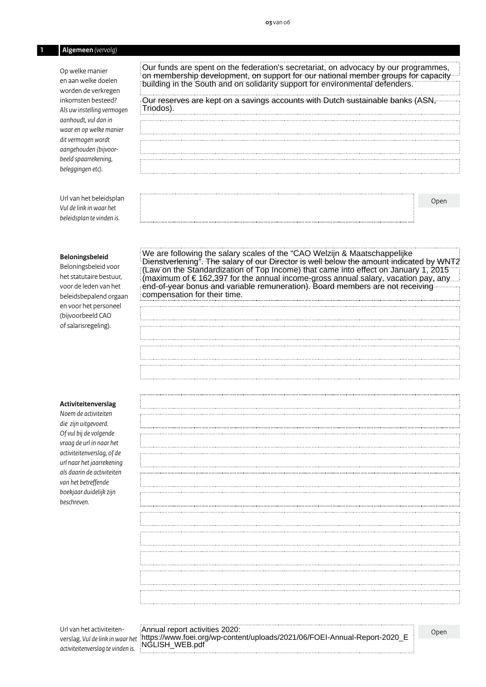#### **1 Algemeen** *(vervolg)*

Op welke manier en aanwelke doelen worden de verkregen inkomsten besteed? *Als uw instelling vermogen aanhoudt, vul dan in waaren op welke manier ditvermogen wordt aangehouden (bijvoorbeeld spaarrekening, beleggingen etc).*

Our funds are spent on the federation's secretariat, on advocacy by our programmes, on membership development, on support for our national member groups for capacity building in the South and on solidarity support for environmental defenders.

#### Our reserves are kept on a savings accounts with Dutch sustainable banks (ASN, Triodos).

*Vul de link in waar het beleidsplan te vinden is.*

Url van het beleidsplan

#### **Beloningsbeleid**

Beloningsbeleid voor het statutaire bestuur, voor de leden van het beleidsbepalend orgaan en voor het personeel (bijvoorbeeld CAO of salarisregeling).

#### **Activiteitenverslag**

*Noem de activiteiten die zijn uitgevoerd. Ofvul bij de volgende vraag de url in naar het activiteitenverslag, of de url naar het jaarrekening als daarin de activiteiten van het betreffende boekjaar duidelijk zijn beschreven.*

|                                                                                                                                                                                                                                      | Open |
|--------------------------------------------------------------------------------------------------------------------------------------------------------------------------------------------------------------------------------------|------|
|                                                                                                                                                                                                                                      |      |
|                                                                                                                                                                                                                                      |      |
|                                                                                                                                                                                                                                      |      |
|                                                                                                                                                                                                                                      |      |
| We are following the salary scales of the "CAO Welzijn & Maatschappelijke<br>Dienstverlening". The salary of our Director is well below the amount indicated by WNT2<br>(Law on the Standardization of Top Income) that came into ef |      |
|                                                                                                                                                                                                                                      |      |
|                                                                                                                                                                                                                                      |      |
| compensation for their time.                                                                                                                                                                                                         |      |
|                                                                                                                                                                                                                                      |      |
|                                                                                                                                                                                                                                      |      |
|                                                                                                                                                                                                                                      |      |
|                                                                                                                                                                                                                                      |      |
|                                                                                                                                                                                                                                      |      |
|                                                                                                                                                                                                                                      |      |
|                                                                                                                                                                                                                                      |      |
|                                                                                                                                                                                                                                      |      |
|                                                                                                                                                                                                                                      |      |
|                                                                                                                                                                                                                                      |      |
|                                                                                                                                                                                                                                      |      |
|                                                                                                                                                                                                                                      |      |
|                                                                                                                                                                                                                                      |      |
|                                                                                                                                                                                                                                      |      |
|                                                                                                                                                                                                                                      |      |
|                                                                                                                                                                                                                                      |      |
|                                                                                                                                                                                                                                      |      |
|                                                                                                                                                                                                                                      |      |
|                                                                                                                                                                                                                                      |      |
|                                                                                                                                                                                                                                      |      |
|                                                                                                                                                                                                                                      |      |
|                                                                                                                                                                                                                                      |      |
|                                                                                                                                                                                                                                      |      |
|                                                                                                                                                                                                                                      |      |
|                                                                                                                                                                                                                                      |      |
|                                                                                                                                                                                                                                      |      |
|                                                                                                                                                                                                                                      |      |
|                                                                                                                                                                                                                                      |      |
|                                                                                                                                                                                                                                      |      |
|                                                                                                                                                                                                                                      |      |
|                                                                                                                                                                                                                                      |      |
| Annual report activities 2020:<br>https://www.foei.org/wp-content/uploads/2021/06/FOEI-Annual-Report-2020_E                                                                                                                          | Open |
| NGLISH_WEB.pdf                                                                                                                                                                                                                       |      |

Url van het activiteitenverslag. *Vul de link in waar het activiteitenverslag te vinden is.*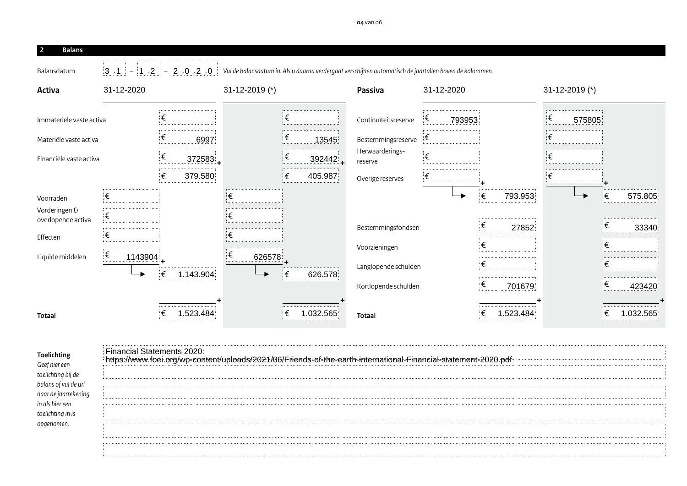| <b>Balans</b><br>- 2                |            |         |        |           |                |        |   |           |                                                                                                                                  |   |            |             |           |       |                      |         |          |  |
|-------------------------------------|------------|---------|--------|-----------|----------------|--------|---|-----------|----------------------------------------------------------------------------------------------------------------------------------|---|------------|-------------|-----------|-------|----------------------|---------|----------|--|
| Balansdatum                         |            |         |        |           |                |        |   |           | $13.1 = 1.2 = 2 = 2.0.2$ Vul de balansdatum in. Als u daarna verdergaat verschijnen automatisch de jaartallen boven de kolommen. |   |            |             |           |       |                      |         |          |  |
| Activa                              | 31-12-2020 |         |        |           | 31-12-2019 (*) |        |   |           | Passiva                                                                                                                          |   | 31-12-2020 |             |           |       | $31 - 12 - 2019$ (*) |         |          |  |
| Immateriële vaste activa            |            |         |        |           |                |        | € |           | Continuïteitsreserve                                                                                                             | ŧ | 793953     |             |           | €     | 575805               |         |          |  |
| Materiële vaste activa              |            |         | €<br>  | 6997      |                |        | € | 13545     | Bestemmingsreserve                                                                                                               | € |            |             |           | €<br> |                      |         |          |  |
| Financiële vaste activa             |            |         | €<br>: | 372583    |                |        | € | 392442    | Herwaarderings-<br>reserve                                                                                                       |   |            |             |           |       |                      |         |          |  |
|                                     |            |         | €<br>. | 379.580   |                |        |   | 405.987   | Overige reserves                                                                                                                 | ŧ |            |             |           | ŧ     |                      |         |          |  |
| Voorraden                           |            |         |        |           |                |        |   |           |                                                                                                                                  |   |            | ι€          | 793.953   |       |                      | €       | 575.805  |  |
| Vorderingen &<br>overlopende activa | €          |         |        |           |                |        |   |           |                                                                                                                                  |   |            | €           |           |       |                      | €       |          |  |
| Effecten                            | <br>ŧ      |         |        |           |                |        |   |           | Bestemmingsfondsen                                                                                                               |   |            |             | 27852     |       |                      | .       | 33340    |  |
| Liquide middelen                    | €          | 1143904 |        |           | €              | 626578 |   |           | Voorzieningen                                                                                                                    |   |            | €           |           |       |                      | €       |          |  |
|                                     |            |         | €      | 1.143.904 |                |        | € | 626.578   | Langlopende schulden                                                                                                             |   |            |             |           |       |                      | €       |          |  |
|                                     |            |         |        |           |                |        |   |           | Kortlopende schulden                                                                                                             |   |            | .<br>€<br>. | 701679    |       |                      | ⊧€<br>. | 423420   |  |
| Totaal                              |            |         |        |           |                |        |   | 1.032.565 | <b>Totaal</b>                                                                                                                    |   |            |             | 1.523.484 |       |                      |         | .032.565 |  |

| <b>Financial Statements 2020:</b> |  |
|-----------------------------------|--|
|                                   |  |
|                                   |  |
|                                   |  |
|                                   |  |
|                                   |  |
|                                   |  |
|                                   |  |
|                                   |  |
|                                   |  |
|                                   |  |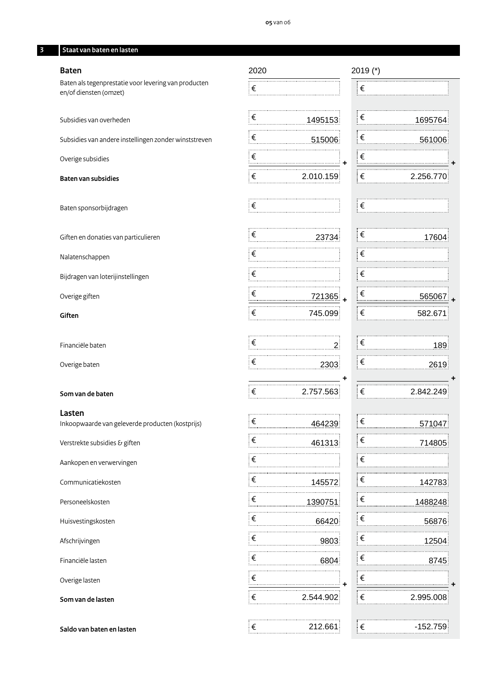#### **3 Staat van baten en lasten**

#### **Baten**

Baten als tegenprestatie voor levering van producten en/of diensten (omzet)

Subsidies van overheden

Subsidies van andere instellingen zonder winststreven

Overige subsidies

#### **Baten van subsidies**

Baten sponsorbijdragen

Giften en donaties van particulieren

Nalatenschappen

Bijdragen van loterijinstellingen

Overige giften

**Giften**

Financiële baten

Overige baten

## **Som van de baten** € €

**Lasten**

Inkoopwaarde van geleverde producten (kostprijs) € €

Verstrekte subsidies & giften

Aankopen en verwervingen

Communicatiekosten

Personeelskosten

Huisvestingskosten

Afschrijvingen

Financiële lasten

Overige lasten

**Som van de lasten**

**Saldo van baten en lasten** € €

| 2020       |                      |   | 2019 (*)            |           |
|------------|----------------------|---|---------------------|-----------|
| ∶€         |                      |   | . <del></del><br>∶€ |           |
|            |                      |   |                     |           |
| €          | 1495153              |   | ็€                  | 1695764   |
| $\epsilon$ | 515006               |   | $\epsilon$          | 561006    |
| $\epsilon$ | i <b>+</b>           |   | $\epsilon$          |           |
| $\epsilon$ | 2.010.159            |   | ∣€                  | 2.256.770 |
| ∶€         |                      |   | ⊧€                  |           |
| €          | 23734                |   | $\epsilon$          | 17604     |
| ∶€         |                      |   | ⊧€                  |           |
| ┊€         |                      |   | ⊧€                  |           |
| $\epsilon$ | $\frac{721365}{ }$ + |   | €                   | 565067    |
| ∶€         | 745.099              |   | ⊧€                  | 582.671   |
| ∶€         | $\sim$ 2.            |   | ⊧€                  | 189       |
| ∶€         | 2303                 |   | ็€                  | 2619      |
| ∶€         | 2.757.563            | ٠ | ⊧€                  | 2.842.249 |
|            |                      |   |                     |           |
| ∶€         | 464239               |   | ∶€                  | 571047    |
| €          | 461313               |   | €                   | 714805    |
| : €        |                      |   | €                   |           |
| €          | 145572               |   | €                   | 142783    |
| €          | 1390751              |   | €                   | 1488248   |
| €          | 66420                |   | €                   | 56876     |
| €          | 9803                 |   | €                   | 12504     |
| €          | 6804                 |   | €                   | 8745      |
| €          |                      |   | €                   |           |

 $\epsilon$  2.544.902  $\epsilon$ 2.544.902 € 2.995.008<br>212.661 € -152.759

. . . . . . . . . . . . . . . . . . .

| 2.256.770 |
|-----------|
|           |
|           |
|           |
| 17604     |
|           |
|           |
|           |
| 565067    |
| 582.671   |
|           |

**+**

- 2.842.249
- 
- -
	-
	-
- 
- -